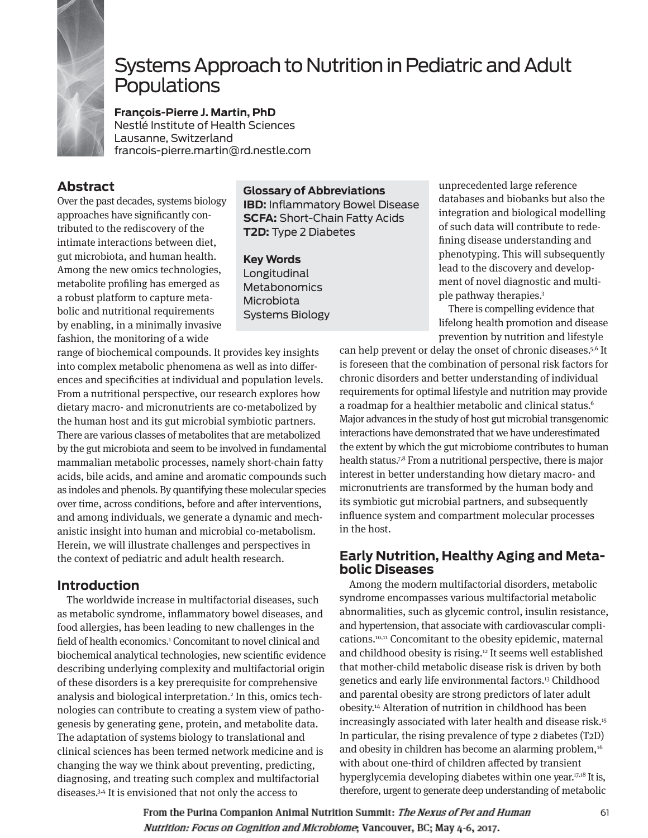

# Systems Approach to Nutrition in Pediatric and Adult **Populations**

**François-Pierre J. Martin, PhD**  Nestlé Institute of Health Sciences Lausanne, Switzerland francois-pierre.martin@rd.nestle.com

# **Abstract**

Over the past decades, systems biology approaches have significantly contributed to the rediscovery of the intimate interactions between diet, gut microbiota, and human health. Among the new omics technologies, metabolite profiling has emerged as a robust platform to capture metabolic and nutritional requirements by enabling, in a minimally invasive fashion, the monitoring of a wide

#### **Glossary of Abbreviations**

**IBD:** Inflammatory Bowel Disease **SCFA:** Short-Chain Fatty Acids **T2D:** Type 2 Diabetes

#### **Key Words**

Longitudinal **Metabonomics** Microbiota Systems Biology

range of biochemical compounds. It provides key insights into complex metabolic phenomena as well as into differences and specificities at individual and population levels. From a nutritional perspective, our research explores how dietary macro- and micronutrients are co-metabolized by the human host and its gut microbial symbiotic partners. There are various classes of metabolites that are metabolized by the gut microbiota and seem to be involved in fundamental mammalian metabolic processes, namely short-chain fatty acids, bile acids, and amine and aromatic compounds such as indoles and phenols. By quantifying these molecular species over time, across conditions, before and after interventions, and among individuals, we generate a dynamic and mechanistic insight into human and microbial co-metabolism. Herein, we will illustrate challenges and perspectives in the context of pediatric and adult health research.

# **Introduction**

The worldwide increase in multifactorial diseases, such as metabolic syndrome, inflammatory bowel diseases, and food allergies, has been leading to new challenges in the field of health economics.<sup>1</sup> Concomitant to novel clinical and biochemical analytical technologies, new scientific evidence describing underlying complexity and multifactorial origin of these disorders is a key prerequisite for comprehensive analysis and biological interpretation.2 In this, omics technologies can contribute to creating a system view of pathogenesis by generating gene, protein, and metabolite data. The adaptation of systems biology to translational and clinical sciences has been termed network medicine and is changing the way we think about preventing, predicting, diagnosing, and treating such complex and multifactorial diseases.3,4 It is envisioned that not only the access to

unprecedented large reference databases and biobanks but also the integration and biological modelling of such data will contribute to redefining disease understanding and phenotyping. This will subsequently lead to the discovery and development of novel diagnostic and multiple pathway therapies.3

There is compelling evidence that lifelong health promotion and disease prevention by nutrition and lifestyle

can help prevent or delay the onset of chronic diseases.5,6 It is foreseen that the combination of personal risk factors for chronic disorders and better understanding of individual requirements for optimal lifestyle and nutrition may provide a roadmap for a healthier metabolic and clinical status.6 Major advances in the study of host gut microbial transgenomic interactions have demonstrated that we have underestimated the extent by which the gut microbiome contributes to human health status.7,8 From a nutritional perspective, there is major interest in better understanding how dietary macro- and micronutrients are transformed by the human body and its symbiotic gut microbial partners, and subsequently influence system and compartment molecular processes in the host.

# **Early Nutrition, Healthy Aging and Metabolic Diseases**

Among the modern multifactorial disorders, metabolic syndrome encompasses various multifactorial metabolic abnormalities, such as glycemic control, insulin resistance, and hypertension, that associate with cardiovascular complications.10,11 Concomitant to the obesity epidemic, maternal and childhood obesity is rising.12 It seems well established that mother-child metabolic disease risk is driven by both genetics and early life environmental factors.<sup>13</sup> Childhood and parental obesity are strong predictors of later adult obesity.14 Alteration of nutrition in childhood has been increasingly associated with later health and disease risk.<sup>15</sup> In particular, the rising prevalence of type 2 diabetes (T2D) and obesity in children has become an alarming problem,<sup>16</sup> with about one-third of children affected by transient hyperglycemia developing diabetes within one year.<sup>17,18</sup> It is, therefore, urgent to generate deep understanding of metabolic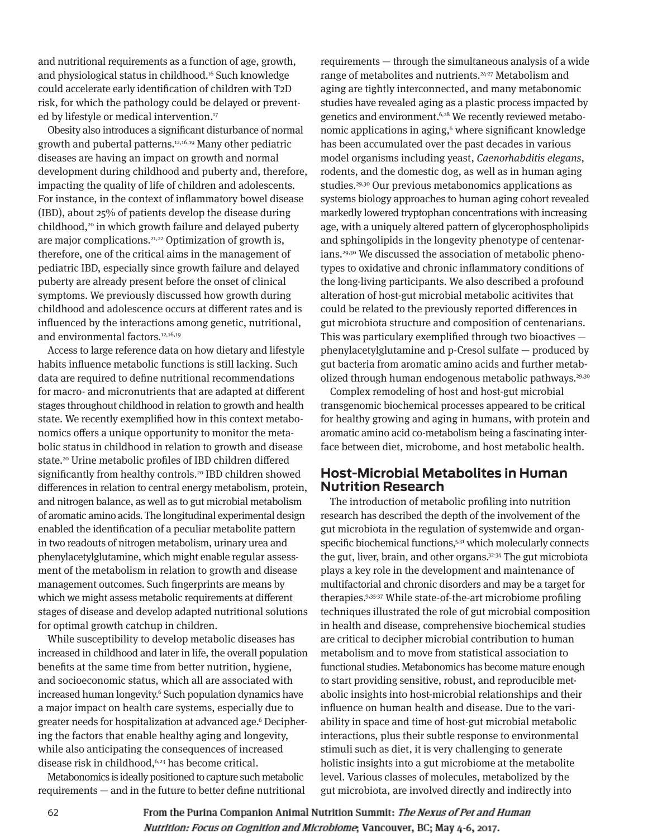and nutritional requirements as a function of age, growth, and physiological status in childhood.16 Such knowledge could accelerate early identification of children with T2D risk, for which the pathology could be delayed or prevented by lifestyle or medical intervention.<sup>17</sup>

Obesity also introduces a significant disturbance of normal growth and pubertal patterns.12,16,19 Many other pediatric diseases are having an impact on growth and normal development during childhood and puberty and, therefore, impacting the quality of life of children and adolescents. For instance, in the context of inflammatory bowel disease (IBD), about 25% of patients develop the disease during childhood,<sup>20</sup> in which growth failure and delayed puberty are major complications.<sup>21,22</sup> Optimization of growth is, therefore, one of the critical aims in the management of pediatric IBD, especially since growth failure and delayed puberty are already present before the onset of clinical symptoms. We previously discussed how growth during childhood and adolescence occurs at different rates and is influenced by the interactions among genetic, nutritional, and environmental factors.<sup>12,16,19</sup>

Access to large reference data on how dietary and lifestyle habits influence metabolic functions is still lacking. Such data are required to define nutritional recommendations for macro- and micronutrients that are adapted at different stages throughout childhood in relation to growth and health state. We recently exemplified how in this context metabonomics offers a unique opportunity to monitor the metabolic status in childhood in relation to growth and disease state.20 Urine metabolic profiles of IBD children differed significantly from healthy controls.<sup>20</sup> IBD children showed differences in relation to central energy metabolism, protein, and nitrogen balance, as well as to gut microbial metabolism of aromatic amino acids. The longitudinal experimental design enabled the identification of a peculiar metabolite pattern in two readouts of nitrogen metabolism, urinary urea and phenylacetylglutamine, which might enable regular assessment of the metabolism in relation to growth and disease management outcomes. Such fingerprints are means by which we might assess metabolic requirements at different stages of disease and develop adapted nutritional solutions for optimal growth catchup in children.

While susceptibility to develop metabolic diseases has increased in childhood and later in life, the overall population benefits at the same time from better nutrition, hygiene, and socioeconomic status, which all are associated with increased human longevity.6 Such population dynamics have a major impact on health care systems, especially due to greater needs for hospitalization at advanced age.6 Deciphering the factors that enable healthy aging and longevity, while also anticipating the consequences of increased disease risk in childhood,<sup>6,23</sup> has become critical.

Metabonomics is ideally positioned to capture such metabolic requirements — and in the future to better define nutritional

requirements — through the simultaneous analysis of a wide range of metabolites and nutrients.<sup>24-27</sup> Metabolism and aging are tightly interconnected, and many metabonomic studies have revealed aging as a plastic process impacted by genetics and environment.<sup>6,28</sup> We recently reviewed metabonomic applications in aging,<sup>6</sup> where significant knowledge has been accumulated over the past decades in various model organisms including yeast, Caenorhabditis elegans, rodents, and the domestic dog, as well as in human aging studies.<sup>29,30</sup> Our previous metabonomics applications as systems biology approaches to human aging cohort revealed markedly lowered tryptophan concentrations with increasing age, with a uniquely altered pattern of glycerophospholipids and sphingolipids in the longevity phenotype of centenarians.29,30 We discussed the association of metabolic phenotypes to oxidative and chronic inflammatory conditions of the long-living participants. We also described a profound alteration of host-gut microbial metabolic acitivites that could be related to the previously reported differences in gut microbiota structure and composition of centenarians. This was particulary exemplified through two bioactives phenylacetylglutamine and p-Cresol sulfate — produced by gut bacteria from aromatic amino acids and further metabolized through human endogenous metabolic pathways.<sup>29,30</sup>

Complex remodeling of host and host-gut microbial transgenomic biochemical processes appeared to be critical for healthy growing and aging in humans, with protein and aromatic amino acid co-metabolism being a fascinating interface between diet, microbome, and host metabolic health.

### **Host-Microbial Metabolites in Human Nutrition Research**

The introduction of metabolic profiling into nutrition research has described the depth of the involvement of the gut microbiota in the regulation of systemwide and organspecific biochemical functions,<sup>5,31</sup> which molecularly connects the gut, liver, brain, and other organs.<sup>32-34</sup> The gut microbiota plays a key role in the development and maintenance of multifactorial and chronic disorders and may be a target for therapies.9,35-37 While state-of-the-art microbiome profiling techniques illustrated the role of gut microbial composition in health and disease, comprehensive biochemical studies are critical to decipher microbial contribution to human metabolism and to move from statistical association to functional studies. Metabonomics has become mature enough to start providing sensitive, robust, and reproducible metabolic insights into host-microbial relationships and their influence on human health and disease. Due to the variability in space and time of host-gut microbial metabolic interactions, plus their subtle response to environmental stimuli such as diet, it is very challenging to generate holistic insights into a gut microbiome at the metabolite level. Various classes of molecules, metabolized by the gut microbiota, are involved directly and indirectly into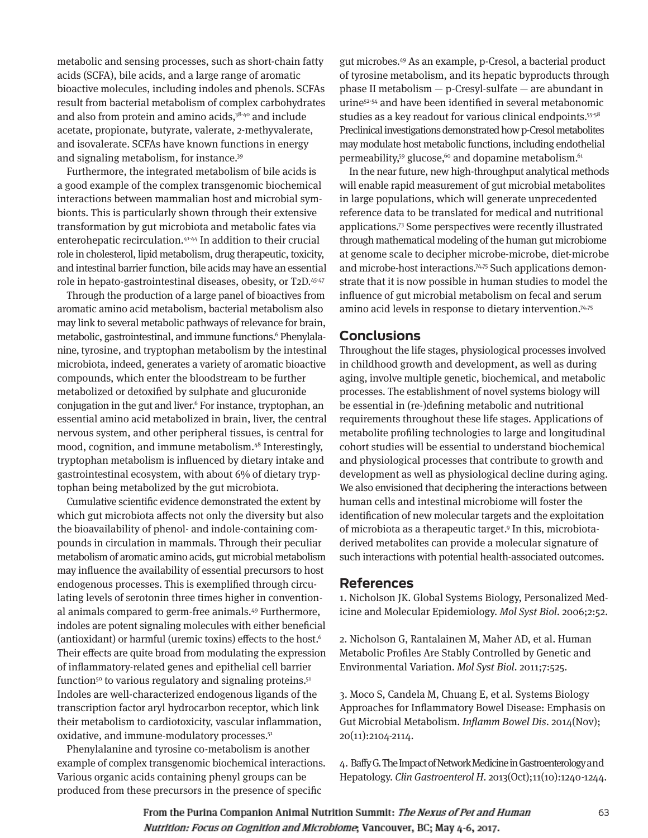metabolic and sensing processes, such as short-chain fatty acids (SCFA), bile acids, and a large range of aromatic bioactive molecules, including indoles and phenols. SCFAs result from bacterial metabolism of complex carbohydrates and also from protein and amino acids,<sup>38-40</sup> and include acetate, propionate, butyrate, valerate, 2-methyvalerate, and isovalerate. SCFAs have known functions in energy and signaling metabolism, for instance.39

Furthermore, the integrated metabolism of bile acids is a good example of the complex transgenomic biochemical interactions between mammalian host and microbial symbionts. This is particularly shown through their extensive transformation by gut microbiota and metabolic fates via enterohepatic recirculation.41-44 In addition to their crucial role in cholesterol, lipid metabolism, drug therapeutic, toxicity, and intestinal barrier function, bile acids may have an essential role in hepato-gastrointestinal diseases, obesity, or T2D.45-47

Through the production of a large panel of bioactives from aromatic amino acid metabolism, bacterial metabolism also may link to several metabolic pathways of relevance for brain, metabolic, gastrointestinal, and immune functions.<sup>6</sup> Phenylalanine, tyrosine, and tryptophan metabolism by the intestinal microbiota, indeed, generates a variety of aromatic bioactive compounds, which enter the bloodstream to be further metabolized or detoxified by sulphate and glucuronide conjugation in the gut and liver.6 For instance, tryptophan, an essential amino acid metabolized in brain, liver, the central nervous system, and other peripheral tissues, is central for mood, cognition, and immune metabolism.<sup>48</sup> Interestingly, tryptophan metabolism is influenced by dietary intake and gastrointestinal ecosystem, with about 6% of dietary tryptophan being metabolized by the gut microbiota.

Cumulative scientific evidence demonstrated the extent by which gut microbiota affects not only the diversity but also the bioavailability of phenol- and indole-containing compounds in circulation in mammals. Through their peculiar metabolism of aromatic amino acids, gut microbial metabolism may influence the availability of essential precursors to host endogenous processes. This is exemplified through circulating levels of serotonin three times higher in conventional animals compared to germ-free animals.49 Furthermore, indoles are potent signaling molecules with either beneficial (antioxidant) or harmful (uremic toxins) effects to the host.6 Their effects are quite broad from modulating the expression of inflammatory-related genes and epithelial cell barrier function<sup>50</sup> to various regulatory and signaling proteins.<sup>51</sup> Indoles are well-characterized endogenous ligands of the transcription factor aryl hydrocarbon receptor, which link their metabolism to cardiotoxicity, vascular inflammation, oxidative, and immune-modulatory processes.<sup>51</sup>

Phenylalanine and tyrosine co-metabolism is another example of complex transgenomic biochemical interactions. Various organic acids containing phenyl groups can be produced from these precursors in the presence of specific

gut microbes.49 As an example, p-Cresol, a bacterial product of tyrosine metabolism, and its hepatic byproducts through phase II metabolism — p-Cresyl-sulfate — are abundant in urine52-54 and have been identified in several metabonomic studies as a key readout for various clinical endpoints.55-58 Preclinical investigations demonstrated how p-Cresol metabolites may modulate host metabolic functions, including endothelial permeability,<sup>59</sup> glucose,<sup>60</sup> and dopamine metabolism.<sup>61</sup>

In the near future, new high-throughput analytical methods will enable rapid measurement of gut microbial metabolites in large populations, which will generate unprecedented reference data to be translated for medical and nutritional applications.73 Some perspectives were recently illustrated through mathematical modeling of the human gut microbiome at genome scale to decipher microbe-microbe, diet-microbe and microbe-host interactions.<sup>74,75</sup> Such applications demonstrate that it is now possible in human studies to model the influence of gut microbial metabolism on fecal and serum amino acid levels in response to dietary intervention.74,75

# **Conclusions**

Throughout the life stages, physiological processes involved in childhood growth and development, as well as during aging, involve multiple genetic, biochemical, and metabolic processes. The establishment of novel systems biology will be essential in (re-)defining metabolic and nutritional requirements throughout these life stages. Applications of metabolite profiling technologies to large and longitudinal cohort studies will be essential to understand biochemical and physiological processes that contribute to growth and development as well as physiological decline during aging. We also envisioned that deciphering the interactions between human cells and intestinal microbiome will foster the identification of new molecular targets and the exploitation of microbiota as a therapeutic target.9 In this, microbiotaderived metabolites can provide a molecular signature of such interactions with potential health-associated outcomes.

# **References**

1. Nicholson JK. Global Systems Biology, Personalized Medicine and Molecular Epidemiology. Mol Syst Biol. 2006;2:52.

2. Nicholson G, Rantalainen M, Maher AD, et al. Human Metabolic Profiles Are Stably Controlled by Genetic and Environmental Variation. Mol Syst Biol. 2011;7:525.

3. Moco S, Candela M, Chuang E, et al. Systems Biology Approaches for Inflammatory Bowel Disease: Emphasis on Gut Microbial Metabolism. Inflamm Bowel Dis. 2014(Nov); 20(11):2104-2114.

4. Baffy G. The Impact of Network Medicine in Gastroenterology and Hepatology. Clin Gastroenterol H. 2013(Oct);11(10):1240-1244.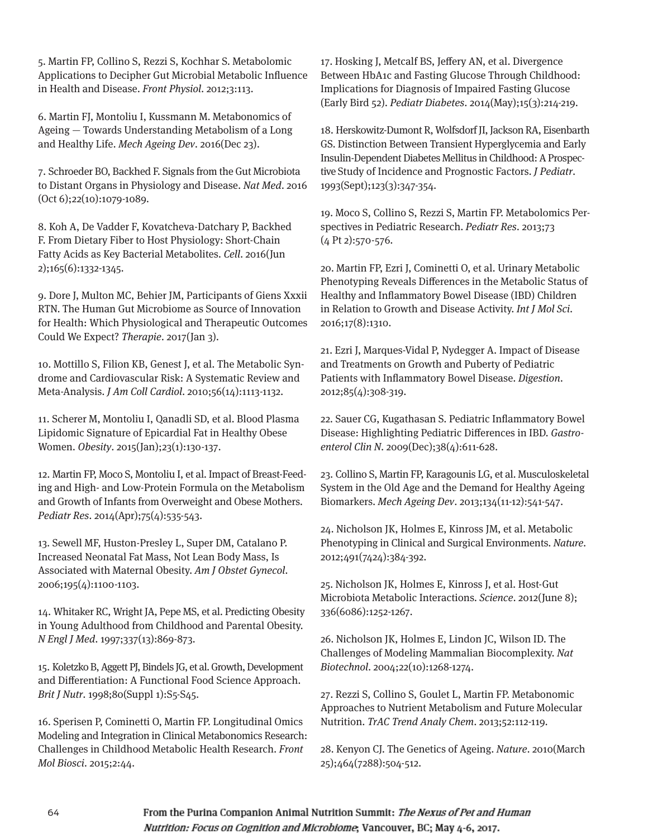5. Martin FP, Collino S, Rezzi S, Kochhar S. Metabolomic Applications to Decipher Gut Microbial Metabolic Influence in Health and Disease. Front Physiol. 2012;3:113.

6. Martin FJ, Montoliu I, Kussmann M. Metabonomics of Ageing — Towards Understanding Metabolism of a Long and Healthy Life. Mech Ageing Dev. 2016(Dec 23).

7. Schroeder BO, Backhed F. Signals from the Gut Microbiota to Distant Organs in Physiology and Disease. Nat Med. 2016 (Oct 6);22(10):1079-1089.

8. Koh A, De Vadder F, Kovatcheva-Datchary P, Backhed F. From Dietary Fiber to Host Physiology: Short-Chain Fatty Acids as Key Bacterial Metabolites. Cell. 2016(Jun 2);165(6):1332-1345.

9. Dore J, Multon MC, Behier JM, Participants of Giens Xxxii RTN. The Human Gut Microbiome as Source of Innovation for Health: Which Physiological and Therapeutic Outcomes Could We Expect? Therapie. 2017(Jan 3).

10. Mottillo S, Filion KB, Genest J, et al. The Metabolic Syndrome and Cardiovascular Risk: A Systematic Review and Meta-Analysis. J Am Coll Cardiol. 2010;56(14):1113-1132.

11. Scherer M, Montoliu I, Qanadli SD, et al. Blood Plasma Lipidomic Signature of Epicardial Fat in Healthy Obese Women. Obesity. 2015(Jan);23(1):130-137.

12. Martin FP, Moco S, Montoliu I, et al. Impact of Breast-Feeding and High- and Low-Protein Formula on the Metabolism and Growth of Infants from Overweight and Obese Mothers. Pediatr Res. 2014(Apr);75(4):535-543.

13. Sewell MF, Huston-Presley L, Super DM, Catalano P. Increased Neonatal Fat Mass, Not Lean Body Mass, Is Associated with Maternal Obesity. Am J Obstet Gynecol. 2006;195(4):1100-1103.

14. Whitaker RC, Wright JA, Pepe MS, et al. Predicting Obesity in Young Adulthood from Childhood and Parental Obesity. N Engl J Med. 1997;337(13):869-873.

15. Koletzko B, Aggett PJ, Bindels JG, et al. Growth, Development and Differentiation: A Functional Food Science Approach. Brit J Nutr. 1998;80(Suppl 1):S5-S45.

16. Sperisen P, Cominetti O, Martin FP. Longitudinal Omics Modeling and Integration in Clinical Metabonomics Research: Challenges in Childhood Metabolic Health Research. Front Mol Biosci. 2015;2:44.

17. Hosking J, Metcalf BS, Jeffery AN, et al. Divergence Between HbA1c and Fasting Glucose Through Childhood: Implications for Diagnosis of Impaired Fasting Glucose (Early Bird 52). Pediatr Diabetes. 2014(May);15(3):214-219.

18. Herskowitz-Dumont R, Wolfsdorf JI, Jackson RA, Eisenbarth GS. Distinction Between Transient Hyperglycemia and Early Insulin-Dependent Diabetes Mellitus in Childhood: A Prospective Study of Incidence and Prognostic Factors. J Pediatr. 1993(Sept);123(3):347-354.

19. Moco S, Collino S, Rezzi S, Martin FP. Metabolomics Perspectives in Pediatric Research. Pediatr Res. 2013;73  $(4 \text{ Pt } 2):570-576.$ 

20. Martin FP, Ezri J, Cominetti O, et al. Urinary Metabolic Phenotyping Reveals Differences in the Metabolic Status of Healthy and Inflammatory Bowel Disease (IBD) Children in Relation to Growth and Disease Activity. Int J Mol Sci. 2016;17(8):1310.

21. Ezri J, Marques-Vidal P, Nydegger A. Impact of Disease and Treatments on Growth and Puberty of Pediatric Patients with Inflammatory Bowel Disease. Digestion. 2012;85(4):308-319.

22. Sauer CG, Kugathasan S. Pediatric Inflammatory Bowel Disease: Highlighting Pediatric Differences in IBD. Gastroenterol Clin N. 2009(Dec);38(4):611-628.

23. Collino S, Martin FP, Karagounis LG, et al. Musculoskeletal System in the Old Age and the Demand for Healthy Ageing Biomarkers. Mech Ageing Dev. 2013;134(11-12):541-547.

24. Nicholson JK, Holmes E, Kinross JM, et al. Metabolic Phenotyping in Clinical and Surgical Environments. Nature. 2012;491(7424):384-392.

25. Nicholson JK, Holmes E, Kinross J, et al. Host-Gut Microbiota Metabolic Interactions. Science. 2012(June 8); 336(6086):1252-1267.

26. Nicholson JK, Holmes E, Lindon JC, Wilson ID. The Challenges of Modeling Mammalian Biocomplexity. Nat Biotechnol. 2004;22(10):1268-1274.

27. Rezzi S, Collino S, Goulet L, Martin FP. Metabonomic Approaches to Nutrient Metabolism and Future Molecular Nutrition. TrAC Trend Analy Chem. 2013;52:112-119.

28. Kenyon CJ. The Genetics of Ageing. Nature. 2010(March 25);464(7288):504-512.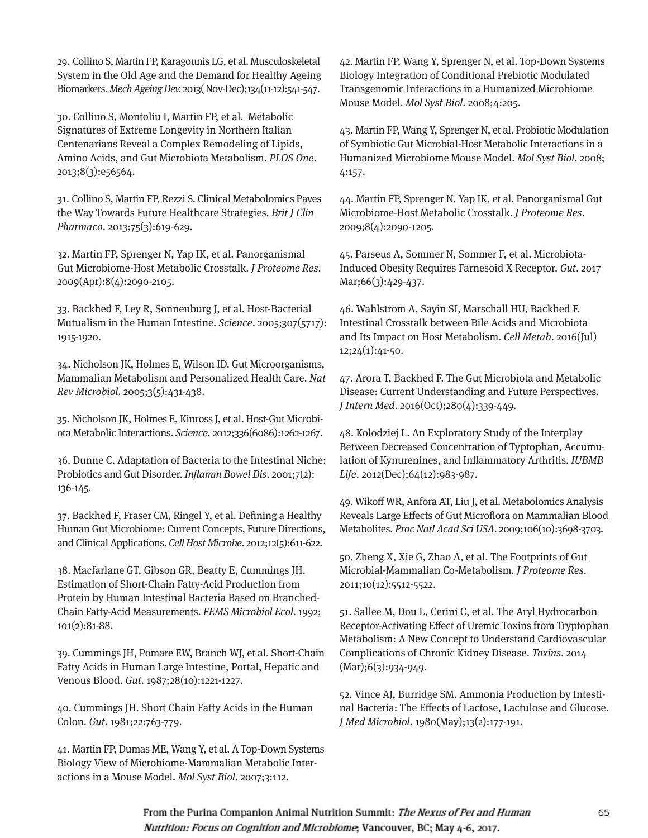29. Collino S, Martin FP, Karagounis LG, et al. Musculoskeletal System in the Old Age and the Demand for Healthy Ageing Biomarkers. Mech Ageing Dev. 2013( Nov-Dec);134(11-12):541-547.

30. Collino S, Montoliu I, Martin FP, et al. Metabolic Signatures of Extreme Longevity in Northern Italian Centenarians Reveal a Complex Remodeling of Lipids, Amino Acids, and Gut Microbiota Metabolism. PLOS One. 2013;8(3):e56564.

31. Collino S, Martin FP, Rezzi S. Clinical Metabolomics Paves the Way Towards Future Healthcare Strategies. Brit J Clin Pharmaco. 2013;75(3):619-629.

32. Martin FP, Sprenger N, Yap IK, et al. Panorganismal Gut Microbiome-Host Metabolic Crosstalk. J Proteome Res. 2009(Apr):8(4):2090-2105.

33. Backhed F, Ley R, Sonnenburg J, et al. Host-Bacterial Mutualism in the Human Intestine. Science. 2005;307(5717): 1915-1920.

34. Nicholson JK, Holmes E, Wilson ID. Gut Microorganisms, Mammalian Metabolism and Personalized Health Care. Nat Rev Microbiol. 2005;3(5):431-438.

35. Nicholson JK, Holmes E, Kinross J, et al. Host-Gut Microbiota Metabolic Interactions. Science. 2012;336(6086):1262-1267.

36. Dunne C. Adaptation of Bacteria to the Intestinal Niche: Probiotics and Gut Disorder. Inflamm Bowel Dis. 2001;7(2): 136-145.

37. Backhed F, Fraser CM, Ringel Y, et al. Defining a Healthy Human Gut Microbiome: Current Concepts, Future Directions, and Clinical Applications. Cell Host Microbe. 2012;12(5):611-622.

38. Macfarlane GT, Gibson GR, Beatty E, Cummings JH. Estimation of Short-Chain Fatty-Acid Production from Protein by Human Intestinal Bacteria Based on Branched-Chain Fatty-Acid Measurements. FEMS Microbiol Ecol. 1992; 101(2):81-88.

39. Cummings JH, Pomare EW, Branch WJ, et al. Short-Chain Fatty Acids in Human Large Intestine, Portal, Hepatic and Venous Blood. Gut. 1987;28(10):1221-1227.

40. Cummings JH. Short Chain Fatty Acids in the Human Colon. Gut. 1981;22:763-779.

41. Martin FP, Dumas ME, Wang Y, et al. A Top-Down Systems Biology View of Microbiome-Mammalian Metabolic Interactions in a Mouse Model. Mol Syst Biol. 2007;3:112.

42. Martin FP, Wang Y, Sprenger N, et al. Top-Down Systems Biology Integration of Conditional Prebiotic Modulated Transgenomic Interactions in a Humanized Microbiome Mouse Model. Mol Syst Biol. 2008;4:205.

43. Martin FP, Wang Y, Sprenger N, et al. Probiotic Modulation of Symbiotic Gut Microbial-Host Metabolic Interactions in a Humanized Microbiome Mouse Model. Mol Syst Biol. 2008; 4:157.

44. Martin FP, Sprenger N, Yap IK, et al. Panorganismal Gut Microbiome-Host Metabolic Crosstalk. J Proteome Res. 2009;8(4):2090-1205.

45. Parseus A, Sommer N, Sommer F, et al. Microbiota-Induced Obesity Requires Farnesoid X Receptor. Gut. 2017 Mar;66(3):429-437.

46. Wahlstrom A, Sayin SI, Marschall HU, Backhed F. Intestinal Crosstalk between Bile Acids and Microbiota and Its Impact on Host Metabolism. Cell Metab. 2016(Jul) 12;24(1):41-50.

47. Arora T, Backhed F. The Gut Microbiota and Metabolic Disease: Current Understanding and Future Perspectives. J Intern Med. 2016(Oct);280(4):339-449.

48. Kolodziej L. An Exploratory Study of the Interplay Between Decreased Concentration of Typtophan, Accumulation of Kynurenines, and Inflammatory Arthritis. IUBMB Life. 2012(Dec);64(12):983-987.

49. Wikoff WR, Anfora AT, Liu J, et al. Metabolomics Analysis Reveals Large Effects of Gut Microflora on Mammalian Blood Metabolites. Proc Natl Acad Sci USA. 2009;106(10):3698-3703.

50. Zheng X, Xie G, Zhao A, et al. The Footprints of Gut Microbial-Mammalian Co-Metabolism. J Proteome Res. 2011;10(12):5512-5522.

51. Sallee M, Dou L, Cerini C, et al. The Aryl Hydrocarbon Receptor-Activating Effect of Uremic Toxins from Tryptophan Metabolism: A New Concept to Understand Cardiovascular Complications of Chronic Kidney Disease. Toxins. 2014  $(Mar);6(3):934-949.$ 

52. Vince AJ, Burridge SM. Ammonia Production by Intestinal Bacteria: The Effects of Lactose, Lactulose and Glucose. J Med Microbiol. 1980(May);13(2):177-191.